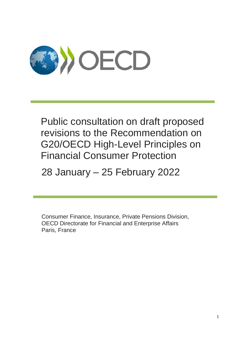

Public consultation on draft proposed revisions to the Recommendation on G20/OECD High-Level Principles on Financial Consumer Protection

28 January – 25 February 2022

Consumer Finance, Insurance, Private Pensions Division, OECD Directorate for Financial and Enterprise Affairs Paris, France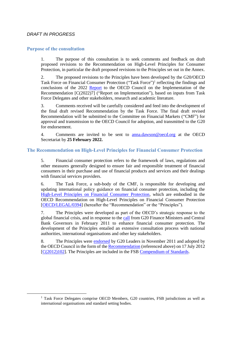# *DRAFT IN PROGRESS*

 $\overline{a}$ 

#### **Purpose of the consultation**

1. The purpose of this consultation is to seek comments and feedback on draft proposed revisions to the Recommendation on High-Level Principles for Consumer Protection, in particular the draft proposed revisions to the Principles set out in the Annex.

2. The proposed revisions to the Principles have been developed by the G20/OECD Task Force on Financial Consumer Protection ("Task Force")<sup>1</sup> reflecting the findings and conclusions of the 2022 [Report](https://one.oecd.org/document/C(2022)7/en/pdf) to the OECD Council on the Implementation of the Recommendation [C(2022)7] ("Report on Implementation"), based on inputs from Task Force Delegates and other stakeholders, research and academic literature.

3. Comments received will be carefully considered and feed into the development of the final draft revised Recommendation by the Task Force. The final draft revised Recommendation will be submitted to the Committee on Financial Markets ("CMF") for approval and transmission to the OECD Council for adoption, and transmitted to the G20 for endorsement.

4. Comments are invited to be sent to [anna.dawson@oecd.org](mailto:anna.dawson@oecd.org) at the OECD Secretariat by **25 February 2022.**

# **The Recommendation on High-Level Principles for Financial Consumer Protection**

5. Financial consumer protection refers to the framework of laws, regulations and other measures generally designed to ensure fair and responsible treatment of financial consumers in their purchase and use of financial products and services and their dealings with financial services providers.

6. The Task Force, a sub-body of the CMF, is responsible for developing and updating international policy guidance on financial consumer protection, including the [High-Level Principles on Financial Consumer Protection,](https://www.oecd.org/daf/fin/financial-markets/48892010.pdf) which are embodied in the OECD Recommendation on High-Level Principles on Financial Consumer Protection [\[OECD/LEGAL/0394\]](https://legalinstruments.oecd.org/en/instruments/OECD-LEGAL-0394) (hereafter the "Recommendation" or the "Principles").

7. The Principles were developed as part of the OECD's strategic response to the global financial crisis, and in response to the [call](http://www.g20.utoronto.ca/2011/2011-finance-110219-en.html) from G20 Finance Ministers and Central Bank Governors in February 2011 to enhance financial consumer protection. The development of the Principles entailed an extensive consultation process with national authorities, international organisations and other key stakeholders.

8. The Principles were [endorsed](https://www.oecd.org/g20/summits/cannes/Cannes%20Leaders%20Communiqu%C3%A9%204%20%20November%202011.pdf) by G20 Leaders in November 2011 and adopted by the OECD Council in the form of the [Recommendation](https://legalinstruments.oecd.org/en/instruments/OECD-LEGAL-0394) (referenced above) on 17 July 2012 [\[C\(2012\)102\]](https://one.oecd.org/document/C(2012)102/en/pdf). The Principles are included in the FSB [Compendium of Standards.](https://www.fsb.org/2011/11/cos_111104a/)

<sup>&</sup>lt;sup>1</sup> Task Force Delegates comprise OECD Members, G20 countries, FSB jurisdictions as well as international organisations and standard setting bodies.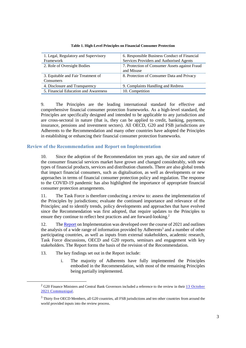| 1. Legal, Regulatory and Supervisory<br>Framework | 6. Responsible Business Conduct of Financial<br>Services Providers and Authorised Agents |
|---------------------------------------------------|------------------------------------------------------------------------------------------|
|                                                   |                                                                                          |
| 2. Role of Oversight Bodies                       | 7. Protection of Consumer Assets against Fraud<br>and Misuse                             |
| 3. Equitable and Fair Treatment of<br>Consumers   | 8. Protection of Consumer Data and Privacy                                               |
| 4. Disclosure and Transparency                    | 9. Complaints Handling and Redress                                                       |
| 5. Financial Education and Awareness              | 10. Competition                                                                          |

**Table 1. High-Level Principles on Financial Consumer Protection**

9. The Principles are the leading international standard for effective and comprehensive financial consumer protection frameworks. As a high-level standard, the Principles are specifically designed and intended to be applicable to any jurisdiction and are cross-sectoral in nature (that is, they can be applied to credit, banking, payments, insurance, pensions and investment sectors). All OECD, G20 and FSB jurisdictions are Adherents to the Recommendation and many other countries have adopted the Principles in establishing or enhancing their financial consumer protection frameworks.

# **Review of the Recommendation and Report on Implementation**

10. Since the adoption of the Recommendation ten years ago, the size and nature of the consumer financial services market have grown and changed considerably, with new types of financial products, services and distribution channels. There are also global trends that impact financial consumers, such as digitalisation, as well as developments or new approaches in terms of financial consumer protection policy and regulation. The response to the COVID-19 pandemic has also highlighted the importance of appropriate financial consumer protection arrangements.

11. The Task Force is therefore conducting a review to: assess the implementation of the Principles by jurisdictions; evaluate the continued importance and relevance of the Principles; and to identify trends, policy developments and approaches that have evolved since the Recommendation was first adopted, that require updates to the Principles to ensure they continue to reflect best practices and are forward-looking.<sup>2</sup>

12. The [Report](https://one.oecd.org/document/C(2022)7/en/pdf) on Implementation was developed over the course of 2021 and outlines the analysis of a wide range of information provided by Adherents<sup>3</sup> and a number of other participating countries, as well as inputs from external stakeholders, academic research, Task Force discussions, OECD and G20 reports, seminars and engagement with key stakeholders. The Report forms the basis of the revision of the Recommendation.

13. The key findings set out in the Report include:

i. The majority of Adherents have fully implemented the Principles embodied in the Recommendation, with most of the remaining Principles being partially implemented.

 $2$  G20 Finance Ministers and Central Bank Governors included a reference to the review in their 13 October 2021 [Communiqué.](http://www.g20.utoronto.ca/2021/211013-finance.html)

<sup>&</sup>lt;sup>3</sup> Thirty five OECD Members, all G20 countries, all FSB jurisdictions and ten other countries from around the world provided inputs into the review process.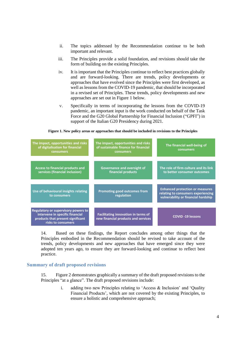- ii. The topics addressed by the Recommendation continue to be both important and relevant.
- iii. The Principles provide a solid foundation, and revisions should take the form of building on the existing Principles.
- iv. It is important that the Principles continue to reflect best practices globally and are forward-looking. There are trends, policy developments or approaches that have evolved since the Principles were first developed, as well as lessons from the COVID-19 pandemic, that should be incorporated in a revised set of Principles. These trends, policy developments and new approaches are set out in Figure 1 below.
- v. Specifically in terms of incorporating the lessons from the COVID-19 pandemic, an important input is the work conducted on behalf of the Task Force and the G20 Global Partnership for Financial Inclusion ("GPFI") in support of the Italian G20 Presidency during 2021.

**Figure 1. New policy areas or approaches that should be included in revisions to the Principles**



14. Based on these findings, the Report concludes among other things that the Principles embodied in the Recommendation should be revised to take account of the trends, policy developments and new approaches that have emerged since they were adopted ten years ago, to ensure they are forward-looking and continue to reflect best practice.

#### **Summary of draft proposed revisions**

15. Figure 2 demonstrates graphically a summary of the draft proposed revisions to the Principles "at a glance". The draft proposed revisions include:

> i. adding two new Principles relating to 'Access & Inclusion' and 'Quality Financial Products', which are not covered by the existing Principles, to ensure a holistic and comprehensive approach;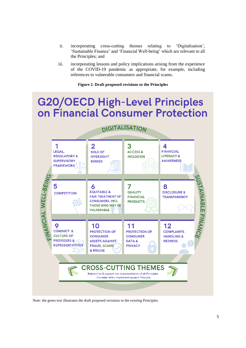- ii. incorporating cross-cutting themes relating to 'Digitalisation', 'Sustainable Finance' and 'Financial Well-being' which are relevant to all the Principles; and
- iii. incorporating lessons and policy implications arising from the experience of the COVID-19 pandemic as appropriate, for example, including references to vulnerable consumers and financial scams.

#### **Figure 2. Draft proposed revisions to the Principles**

# **G20/OECD High-Level Principles** on Financial Consumer Protection



Note: the green text illustrates the draft proposed revisions to the existing Principles.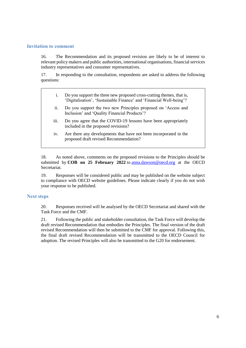# **Invitation to comment**

16. The Recommendation and its proposed revision are likely to be of interest to relevant policy makers and public authorities, international organisations, financial services industry representatives and consumer representatives.

17. In responding to the consultation, respondents are asked to address the following questions:

- i. Do you support the three new proposed cross-cutting themes, that is, 'Digitalisation', 'Sustainable Finance' and 'Financial Well-being'?
- ii. Do you support the two new Principles proposed on 'Access and Inclusion' and 'Quality Financial Products'?
- iii. Do you agree that the COVID-19 lessons have been appropriately included in the proposed revisions?
- iv. Are there any developments that have not been incorporated in the proposed draft revised Recommendation?

18. As noted above, comments on the proposed revisions to the Principles should be submitted by **COB on 25 February 2022** to [anna.dawson@oecd.org](mailto:anna.dawson@oecd.org) at the OECD Secretariat.

19. Responses will be considered public and may be published on the website subject to compliance with OECD website guidelines. Please indicate clearly if you do not wish your response to be published.

#### **Next steps**

20. Responses received will be analysed by the OECD Secretariat and shared with the Task Force and the CMF.

21. Following the public and stakeholder consultation, the Task Force will develop the draft revised Recommendation that embodies the Principles. The final version of the draft revised Recommendation will then be submitted to the CMF for approval. Following this, the final draft revised Recommendation will be transmitted to the OECD Council for adoption. The revised Principles will also be transmitted to the G20 for endorsement.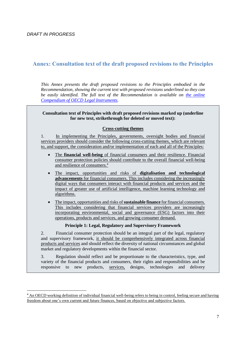$\overline{a}$ 

# **Annex: Consultation text of the draft proposed revisions to the Principles**

*This Annex presents the draft proposed revisions to the Principles embodied in the Recommendation, showing the current text with proposed revisions underlined so they can be easily identified. The full text of the Recommendation is available on the online [Compendium of OECD Legal Instruments.](https://legalinstruments.oecd.org/en/instruments/OECD-LEGAL-0394)* 

# **Consultation text of Principles with draft proposed revisions marked up (underline for new text, strikethrough for deleted or moved text):**

# **Cross-cutting themes**

1. In implementing the Principles, governments, oversight bodies and financial services providers should consider the following cross-cutting themes, which are relevant to, and support, the consideration and/or implementation of each and all of the Principles:

- The **financial well-being** of financial consumers and their resilience. Financial consumer protection policies should contribute to the overall financial well-being and resilience of consumers.<sup>4</sup>
- The impact, opportunities and risks of **digitalisation and technological advancements** for financial consumers. This includes considering the increasingly digital ways that consumers interact with financial products and services and the impact of greater use of artificial intelligence, machine learning technology and algorithms.
- The impact, opportunities and risks of **sustainable finance** for financial consumers. This includes considering that financial services providers are increasingly incorporating environmental, social and governance (ESG) factors into their operations, products and services, and growing consumer demand.

#### **Principle 1: Legal, Regulatory and Supervisory Framework**

2. Financial consumer protection should be an integral part of the legal, regulatory and supervisory framework, it should be comprehensively integrated across financial products and services and should reflect the diversity of national circumstances and global market and regulatory developments within the financial sector.

3. Regulation should reflect and be proportionate to the characteristics, type, and variety of the financial products and consumers, their rights and responsibilities and be responsive to new products, services, designs, technologies and delivery

 $<sup>4</sup>$  An OECD working definition of individual financial well-being refers to being in control, feeling secure and having</sup> freedom about one's own current and future finances, based on objective and subjective factors.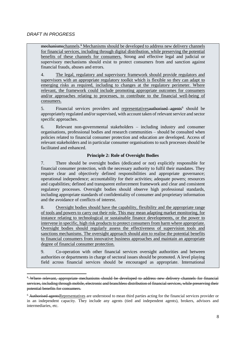mechanismschannels.<sup>5</sup> Mechanisms should be developed to address new delivery channels for financial services, including through digital distribution, while preserving the potential benefits of these channels for consumers. Strong and effective legal and judicial or supervisory mechanisms should exist to protect consumers from and sanction against financial frauds, abuses and errors.

4. The legal, regulatory and supervisory framework should provide regulators and supervisors with an appropriate regulatory toolkit which is flexible so they can adapt to emerging risks as required, including to changes at the regulatory perimeter. Where relevant, the framework could include promoting appropriate outcomes for consumers and/or approaches relating to processes, to contribute to the financial well-being of consumers.

5. Financial services providers and representatives authorised agents<sup>6</sup> should be appropriately regulated and/or supervised, with account taken of relevant service and sector specific approaches.

6. Relevant non-governmental stakeholders – including industry and consumer organisations, professional bodies and research communities – should be consulted when policies related to financial consumer protection and education are developed. Access of relevant stakeholders and in particular consumer organisations to such processes should be facilitated and enhanced.

# **Principle 2: Role of Oversight Bodies**

7. There should be oversight bodies (dedicated or not) explicitly responsible for financial consumer protection, with the necessary authority to fulfil their mandates. They require clear and objectively defined responsibilities and appropriate governance; operational independence; accountability for their activities; adequate powers; resources and capabilities; defined and transparent enforcement framework and clear and consistent regulatory processes. Oversight bodies should observe high professional standards, including appropriate standards of confidentiality of consumer and proprietary information and the avoidance of conflicts of interest.

8. Oversight bodies should have the capability, flexibility and the appropriate range of tools and powers to carry out their role. This may mean adapting market monitoring, for instance relating to technological or sustainable finance developments, or the power to intervene in specific, high risk products to protect consumers from harm where appropriate. Oversight bodies should regularly assess the effectiveness of supervision tools and sanctions mechanisms. The oversight approach should aim to realise the potential benefits to financial consumers from innovative business approaches and maintain an appropriate degree of financial consumer protection.

9. Co-operation with other financial services oversight authorities and between authorities or departments in charge of sectoral issues should be promoted. A level playing field across financial services should be encouraged as appropriate. International

<sup>&</sup>lt;sup>5</sup> Where relevant, appropriate mechanisms should be developed to address new delivery channels for financial services, including through mobile, electronic and branchless distribution of financial services, while preserving their potential benefits for consumers.

<sup>&</sup>lt;sup>6</sup> Authorised agentsRepresentatives are understood to mean third parties acting for the financial services provider or in an independent capacity. They include any agents (tied and independent agents), brokers, advisors and intermediaries, etc.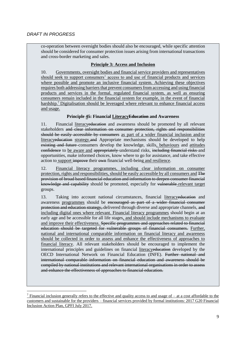co-operation between oversight bodies should also be encouraged, while specific attention should be considered for consumer protection issues arising from international transactions and cross-border marketing and sales.

# **Principle 3: Access and Inclusion**

10. Governments, oversight bodies and financial service providers and representatives should seek to support consumers' access to and use of financial products and services where possible and promote an inclusive financial system. Achieving these objectives requires both addressing barriers that prevent consumers from accessing and using financial products and services in the formal, regulated financial system, as well as ensuring consumers remain included in the financial system for example, in the event of financial hardship.<sup>7</sup> Digitalisation should be leveraged where relevant to enhance financial access and usage.

# **Principle 45: Financial LiteracyEducation and Awareness**

11. Financial literacyeducation and awareness should be promoted by all relevant stakeholders and clear information on consumer protection, rights and responsibilities should be easily accessible by consumers as part of a wider financial inclusion and/or literacyeducation strategy.and Appropriate mechanisms should be developed to help existing and future consumers develop the knowledge, skills, behaviours and attitudes confidence to be aware and appropriately understand risks, including financial risks and opportunities, make informed choices, know where to go for assistance, and take effective action to support improve their own financial well-being and resilience.

12. Financial literacy programmes, including clear information on consumer protection, rights and responsibilities, should be easily accessible by all consumers and The provision of broad based financial education and information to deepen consumer financial knowledge and capability should be promoted, especially for vulnerable-relevant target groups.

13. Taking into account national circumstances, financial literacy education and awareness programmes should be encouraged as part of a wider financial consumer protection and education strategy, delivered through diverse and appropriate channels, and including digital ones where relevant. Financial literacy programmes should begin at an early age and be accessible for all life stages, and should include mechanisms to evaluate and improve their effectiveness. Specific programmes and approaches related to financial education should be targeted for vulnerable groups of financial consumers. Further, national and international comparable information on financial literacy and awareness should be collected in order to assess and enhance the effectiveness of approaches to financial literacy. All relevant stakeholders should be encouraged to implement the international principles and guidelines on financial literacyeducation developed by the OECD International Network on Financial Education (INFE). Further national and international comparable information on financial education and awareness should be compiled by national institutions and relevant international organisations in order to assess and enhance the effectiveness of approaches to financial education.

<sup>&</sup>lt;sup>7</sup> Financial inclusion generally refers to the effective and quality access to and usage of – at a cost affordable to the customers and sustainable for the providers – financial services provided by formal institutions: 2017 G20 Financial Inclusion Action Plan, GPFI July 2017.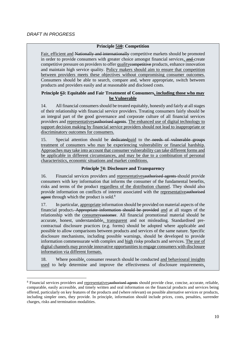# **Principle 510: Competition**

Fair, efficient and Nationally and internationally competitive markets should be promoted in order to provide consumers with greater choice amongst financial services, and create competitive pressure on providers to offer qualitycompetitive products, enhance innovation and maintain high service quality. Policy makers should aim to ensure that competition between providers meets these objectives without compromising consumer outcomes. Consumers should be able to search, compare and, where appropriate, switch between products and providers easily and at reasonable and disclosed costs.

# **Principle 63: Equitable and Fair Treatment of Consumers, including those who may be Vulnerable**

14. All financial consumers should be treated equitably, honestly and fairly at all stages of their relationship with financial service providers. Treating consumers fairly should be an integral part of the good governance and corporate culture of all financial services providers and representativesauthorised agents. The enhanced use of digital technology to support decision making by financial service providers should not lead to inappropriate or discriminatory outcomes for consumers.

15. Special attention should be dedicatedpaid to the needs of vulnerable groups treatment of consumers who may be experiencing vulnerability or financial hardship. Approaches may take into account that consumer vulnerability can take different forms and be applicable in different circumstances, and may be due to a combination of personal characteristics, economic situations and market conditions.

# **Principle 74: Disclosure and Transparency**

16. Financial services providers and representativesauthorised agents should provide consumers with key information that informs the consumer of the fundamental benefits, risks and terms of the product regardless of the distribution channel. They should also provide information on conflicts of interest associated with the representativeauthorised agent through which the product is sold.<sup>8</sup>

17. In particular, appropriate information should be provided on material aspects of the financial product. Appropriate information should be provided and at all stages of the relationship with the consumercustomer. All financial promotional material should be accurate, honest, understandable, transparent and not misleading. Standardised precontractual disclosure practices (e.g. forms) should be adopted where applicable and possible to allow comparisons between products and services of the same nature. Specific disclosure mechanisms, including possible warnings, should be developed to provide information commensurate with complex and high risky products and services. The use of digital channels may provide innovative opportunities to engage consumers with disclosure information via different formats.

18. Where possible, consumer research should be conducted and behavioural insights used to help determine and improve the effectiveness of disclosure requirements,

<sup>&</sup>lt;sup>8</sup> Financial services providers and representatives authorised agents should provide clear, concise, accurate, reliable, comparable, easily accessible, and timely written and oral information on the financial products and services being offered, particularly on key features of the products and (where relevant) on possible alternative services or products, including simpler ones, they provide. In principle, information should include prices, costs, penalties, surrender charges, risks and termination modalities.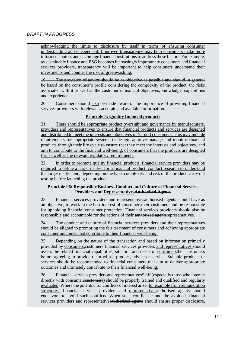# *DRAFT IN PROGRESS*

acknowledging the limits to disclosure by itself in terms of ensuring consumer understanding and engagement. Improved transparency may help consumers make more informed choices and encourage financial institutions to address these factors. For example, as sustainable finance and ESG becomes increasingly important to consumers and financial services providers, transparency will be important to help consumers understand their investments and counter the risk of greenwashing.

19. The provision of advice should be as objective as possible and should in general be based on the consumer's profile considering the complexity of the product, the risks associated with it as well as the customer's financial objectives, knowledge, capabilities and experience.

20. Consumers should also be made aware of the importance of providing financial services providers with relevant, accurate and available information.

# **Principle 8: Quality financial products**

21. There should be appropriate product oversight and governance by manufacturers, providers and representatives to ensure that financial products and services are designed and distributed to meet the interests and objectives of (target) consumers. This may include requirements for appropriate systems to design, approve manage and monitor financial products through their life cycle to ensure that they meet the interests and objectives, and aim to contribute to the financial well-being, of consumers that the products are designed for, as well as the relevant regulatory requirements.

22. In order to promote quality financial products, financial service providers may be required to define a target market for a financial product, conduct research to understand the target market and, depending on the type, complexity and risk of the product, carry out testing before launching the product.

# **Principle 96: Responsible Business Conduct and Culture of Financial Services Providers and RepresentativesAuthorised Agents**

23. Financial services providers and representativesauthorised agents should have as an objective, to work in the best interest of consumerstheir customers and be responsible for upholding financial consumer protection. Financial services providers should also be responsible and accountable for the actions of their authorised agentsrepresentatives.

24. The conduct and culture of financial services providers and their representatives should be aligned to promoting the fair treatment of consumers and achieving appropriate consumer outcomes that contribute to their financial well-being.

25. Depending on the nature of the transaction and based on information primarily provided by consumers, eustomers financial services providers and representatives should assess the related financial capabilities, situation and needs of consumerstheir customers before agreeing to provide them with a product, advice or service. Suitable products or services should be recommended to financial consumers that aim to deliver appropriate outcomes and ultimately contribute to their financial well-being.

26. Financial services providers and representativesStaff (especially those who interact directly with consumerseustomers) should be properly trained and qualified and regularly evaluated. Where the potential for conflicts of interest arise, for example from remuneration structures, financial services providers and representativesauthorised agents should endeavour to avoid such conflicts. When such conflicts cannot be avoided, financial services providers and representatives authorised agents should ensure proper disclosure,